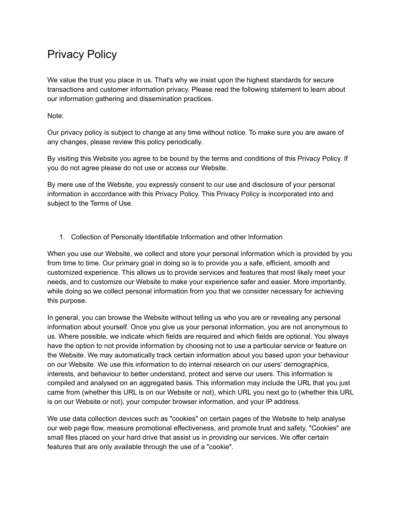# Privacy Policy

We value the trust you place in us. That's why we insist upon the highest standards for secure transactions and customer information privacy. Please read the following statement to learn about our information gathering and dissemination practices.

Note:

Our privacy policy is subject to change at any time without notice. To make sure you are aware of any changes, please review this policy periodically.

By visiting this Website you agree to be bound by the terms and conditions of this Privacy Policy. If you do not agree please do not use or access our Website.

By mere use of the Website, you expressly consent to our use and disclosure of your personal information in accordance with this Privacy Policy. This Privacy Policy is incorporated into and subject to the Terms of Use.

1. Collection of Personally Identifiable Information and other Information

When you use our Website, we collect and store your personal information which is provided by you from time to time. Our primary goal in doing so is to provide you a safe, efficient, smooth and customized experience. This allows us to provide services and features that most likely meet your needs, and to customize our Website to make your experience safer and easier. More importantly, while doing so we collect personal information from you that we consider necessary for achieving this purpose.

In general, you can browse the Website without telling us who you are or revealing any personal information about yourself. Once you give us your personal information, you are not anonymous to us. Where possible, we indicate which fields are required and which fields are optional. You always have the option to not provide information by choosing not to use a particular service or feature on the Website. We may automatically track certain information about you based upon your behaviour on our Website. We use this information to do internal research on our users' demographics, interests, and behaviour to better understand, protect and serve our users. This information is compiled and analysed on an aggregated basis. This information may include the URL that you just came from (whether this URL is on our Website or not), which URL you next go to (whether this URL is on our Website or not), your computer browser information, and your IP address.

We use data collection devices such as "cookies" on certain pages of the Website to help analyse our web page flow, measure promotional effectiveness, and promote trust and safety. "Cookies" are small files placed on your hard drive that assist us in providing our services. We offer certain features that are only available through the use of a "cookie".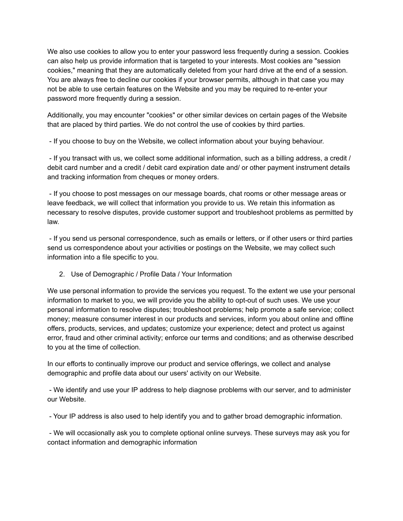We also use cookies to allow you to enter your password less frequently during a session. Cookies can also help us provide information that is targeted to your interests. Most cookies are "session cookies," meaning that they are automatically deleted from your hard drive at the end of a session. You are always free to decline our cookies if your browser permits, although in that case you may not be able to use certain features on the Website and you may be required to re-enter your password more frequently during a session.

Additionally, you may encounter "cookies" or other similar devices on certain pages of the Website that are placed by third parties. We do not control the use of cookies by third parties.

- If you choose to buy on the Website, we collect information about your buying behaviour.

- If you transact with us, we collect some additional information, such as a billing address, a credit / debit card number and a credit / debit card expiration date and/ or other payment instrument details and tracking information from cheques or money orders.

- If you choose to post messages on our message boards, chat rooms or other message areas or leave feedback, we will collect that information you provide to us. We retain this information as necessary to resolve disputes, provide customer support and troubleshoot problems as permitted by law.

- If you send us personal correspondence, such as emails or letters, or if other users or third parties send us correspondence about your activities or postings on the Website, we may collect such information into a file specific to you.

2. Use of Demographic / Profile Data / Your Information

We use personal information to provide the services you request. To the extent we use your personal information to market to you, we will provide you the ability to opt-out of such uses. We use your personal information to resolve disputes; troubleshoot problems; help promote a safe service; collect money; measure consumer interest in our products and services, inform you about online and offline offers, products, services, and updates; customize your experience; detect and protect us against error, fraud and other criminal activity; enforce our terms and conditions; and as otherwise described to you at the time of collection.

In our efforts to continually improve our product and service offerings, we collect and analyse demographic and profile data about our users' activity on our Website.

- We identify and use your IP address to help diagnose problems with our server, and to administer our Website.

- Your IP address is also used to help identify you and to gather broad demographic information.

- We will occasionally ask you to complete optional online surveys. These surveys may ask you for contact information and demographic information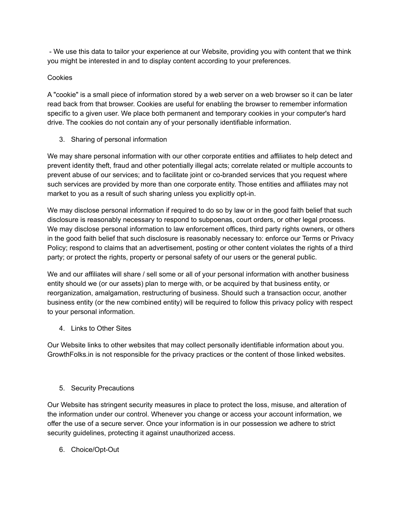- We use this data to tailor your experience at our Website, providing you with content that we think you might be interested in and to display content according to your preferences.

## Cookies

A "cookie" is a small piece of information stored by a web server on a web browser so it can be later read back from that browser. Cookies are useful for enabling the browser to remember information specific to a given user. We place both permanent and temporary cookies in your computer's hard drive. The cookies do not contain any of your personally identifiable information.

3. Sharing of personal information

We may share personal information with our other corporate entities and affiliates to help detect and prevent identity theft, fraud and other potentially illegal acts; correlate related or multiple accounts to prevent abuse of our services; and to facilitate joint or co-branded services that you request where such services are provided by more than one corporate entity. Those entities and affiliates may not market to you as a result of such sharing unless you explicitly opt-in.

We may disclose personal information if required to do so by law or in the good faith belief that such disclosure is reasonably necessary to respond to subpoenas, court orders, or other legal process. We may disclose personal information to law enforcement offices, third party rights owners, or others in the good faith belief that such disclosure is reasonably necessary to: enforce our Terms or Privacy Policy; respond to claims that an advertisement, posting or other content violates the rights of a third party; or protect the rights, property or personal safety of our users or the general public.

We and our affiliates will share / sell some or all of your personal information with another business entity should we (or our assets) plan to merge with, or be acquired by that business entity, or reorganization, amalgamation, restructuring of business. Should such a transaction occur, another business entity (or the new combined entity) will be required to follow this privacy policy with respect to your personal information.

4. Links to Other Sites

Our Website links to other websites that may collect personally identifiable information about you. GrowthFolks.in is not responsible for the privacy practices or the content of those linked websites.

5. Security Precautions

Our Website has stringent security measures in place to protect the loss, misuse, and alteration of the information under our control. Whenever you change or access your account information, we offer the use of a secure server. Once your information is in our possession we adhere to strict security guidelines, protecting it against unauthorized access.

6. Choice/Opt-Out